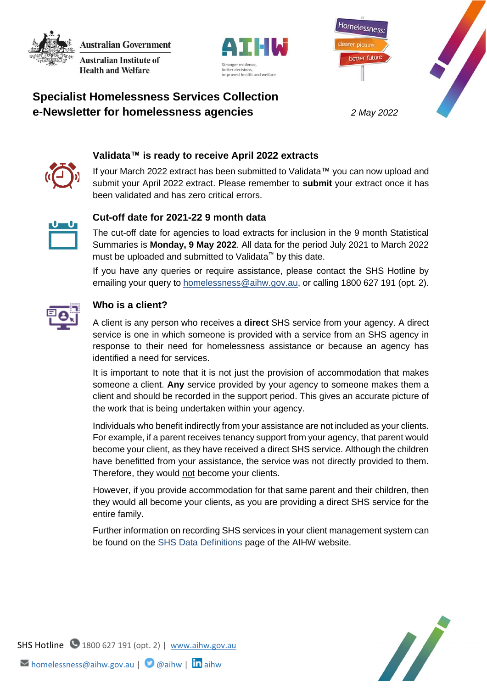**Australian Government Australian Institute of** 

**Health and Welfare** 





# **Specialist Homelessness Services Collection e-Newsletter for homelessness agencies** *2 May 2022*



# **Validata™ is ready to receive April 2022 extracts**

If your March 2022 extract has been submitted to Validata™ you can now upload and submit your April 2022 extract. Please remember to **submit** your extract once it has been validated and has zero critical errors.



### **Cut-off date for 2021-22 9 month data**

The cut-off date for agencies to load extracts for inclusion in the 9 month Statistical Summaries is **Monday, 9 May 2022**. All data for the period July 2021 to March 2022 must be uploaded and submitted to Validata™ by this date.

If you have any queries or require assistance, please contact the SHS Hotline by emailing your query to [homelessness@aihw.gov.au,](mailto:homelessness@aihw.gov.au) or calling 1800 627 191 (opt. 2).



#### **Who is a client?**

A client is any person who receives a **direct** SHS service from your agency. A direct service is one in which someone is provided with a service from an SHS agency in response to their need for homelessness assistance or because an agency has identified a need for services.

It is important to note that it is not just the provision of accommodation that makes someone a client. **Any** service provided by your agency to someone makes them a client and should be recorded in the support period. This gives an accurate picture of the work that is being undertaken within your agency.

Individuals who benefit indirectly from your assistance are not included as your clients. For example, if a parent receives tenancy support from your agency, that parent would become your client, as they have received a direct SHS service. Although the children have benefitted from your assistance, the service was not directly provided to them. Therefore, they would not become your clients.

However, if you provide accommodation for that same parent and their children, then they would all become your clients, as you are providing a direct SHS service for the entire family.

Further information on recording SHS services in your client management system can be found on the [SHS Data Definitions](https://www.aihw.gov.au/about-our-data/our-data-collections/specialist-homelessness-services-collection/shs-data-definitions) page of the AIHW website.



SHS Hotline 1800 627 191 (opt. 2) | [www.aihw.gov.au](http://www.aihw.gov.au/)  $\blacktriangleright$  [homelessness@aihw.gov.au](mailto:homelessness@aihw.gov.au) |  $\blacktriangleright$  [@aihw](https://twitter.com/aihw) |  $\ln$ [aihw](https://www.linkedin.com/company/australian-institute-of-health-and-welfare/)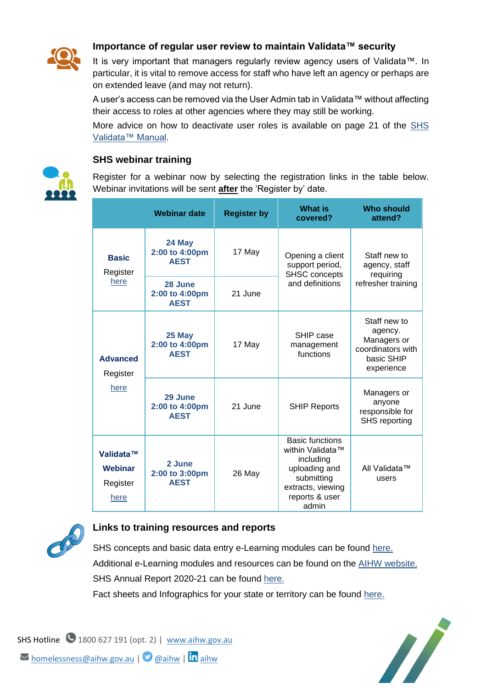

## **Importance of regular user review to maintain Validata™ security**

It is very important that managers regularly review agency users of Validata™. In particular, it is vital to remove access for staff who have left an agency or perhaps are on extended leave (and may not return).

A user's access can be removed via the User Admin tab in Validata™ without affecting their access to roles at other agencies where they may still be working.

More advice on how to deactivate user roles is available on page 21 of the [SHS](https://www.aihw.gov.au/getmedia/d5334a5a-31aa-42f1-91b1-7adc69755e8b/SHS_Validata_Manual_August_2018.pdf.aspx)  [Validata™ Manual.](https://www.aihw.gov.au/getmedia/d5334a5a-31aa-42f1-91b1-7adc69755e8b/SHS_Validata_Manual_August_2018.pdf.aspx)

# **SHS webinar training**



Register for a webinar now by selecting the registration links in the table below. Webinar invitations will be sent **after** the 'Register by' date.

|                                                 | <b>Webinar date</b>                      | <b>Register by</b> | <b>What is</b><br>covered?                                                                                                             | <b>Who should</b><br>attend?                                                            |
|-------------------------------------------------|------------------------------------------|--------------------|----------------------------------------------------------------------------------------------------------------------------------------|-----------------------------------------------------------------------------------------|
| <b>Basic</b><br>Register<br>here                | 24 May<br>2:00 to 4:00pm<br><b>AEST</b>  | 17 May             | Opening a client<br>support period,<br><b>SHSC</b> concepts<br>and definitions                                                         | Staff new to<br>agency, staff<br>requiring<br>refresher training                        |
|                                                 | 28 June<br>2:00 to 4:00pm<br><b>AEST</b> | 21 June            |                                                                                                                                        |                                                                                         |
| <b>Advanced</b><br>Register<br>here             | 25 May<br>2:00 to 4:00pm<br><b>AEST</b>  | 17 May             | SHIP case<br>management<br>functions                                                                                                   | Staff new to<br>agency.<br>Managers or<br>coordinators with<br>basic SHIP<br>experience |
|                                                 | 29 June<br>2:00 to 4:00pm<br><b>AEST</b> | 21 June            | <b>SHIP Reports</b>                                                                                                                    | Managers or<br>anyone<br>responsible for<br><b>SHS</b> reporting                        |
| Validata™<br><b>Webinar</b><br>Register<br>here | 2 June<br>2:00 to 3:00pm<br><b>AEST</b>  | 26 May             | <b>Basic functions</b><br>within Validata™<br>including<br>uploading and<br>submitting<br>extracts, viewing<br>reports & user<br>admin | All Validata™<br>users                                                                  |



#### **Links to training resources and reports**

SHS concepts and basic data entry e-Learning modules can be found [here.](https://www.aihw.gov.au/about-our-data/our-data-collections/specialist-homelessness-services-collection/shs-elearning) Additional e-Learning modules and resources can be found on the [AIHW website.](https://www.aihw.gov.au/about-our-data/our-data-collections/specialist-homelessness-services-collection/training-resources) SHS Annual Report 2020-21 can be found [here.](https://www.aihw.gov.au/reports-data/health-welfare-services/homelessness-services/overview)

Fact sheets and Infographics for your state or territory can be found [here.](https://www.aihw.gov.au/reports-data/health-welfare-services/homelessness-services/resources)

SHS Hotline  $\bigcirc$  1800 627 191 (opt. 2) | [www.aihw.gov.au](http://www.aihw.gov.au/)  $\triangleright$  [homelessness@aihw.gov.au](mailto:homelessness@aihw.gov.au) |  $\bigcirc$  [@aihw](https://twitter.com/aihw) |  $\mathop{\text{in}}$  [aihw](https://www.linkedin.com/company/australian-institute-of-health-and-welfare/)